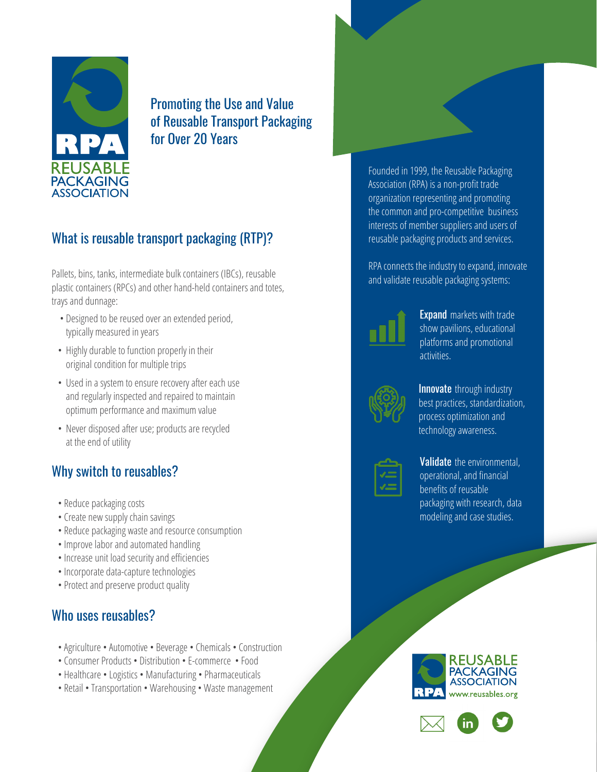

Promoting the Use and Value of Reusable Transport Packaging for Over 20 Years

# What is reusable transport packaging (RTP)?

Pallets, bins, tanks, intermediate bulk containers (IBCs), reusable plastic containers (RPCs) and other hand-held containers and totes, trays and dunnage:

- Designed to be reused over an extended period, typically measured in years
- Highly durable to function properly in their original condition for multiple trips
- Used in a system to ensure recovery after each use and regularly inspected and repaired to maintain optimum performance and maximum value
- Never disposed after use; products are recycled at the end of utility

## Why switch to reusables?

- Reduce packaging costs
- Create new supply chain savings
- Reduce packaging waste and resource consumption
- Improve labor and automated handling
- Increase unit load security and efficiencies
- Incorporate data-capture technologies
- Protect and preserve product quality

### Who uses reusables?

- Agriculture Automotive Beverage Chemicals Construction
- Consumer Products Distribution E-commerce Food
- Healthcare Logistics Manufacturing Pharmaceuticals
- Retail Transportation Warehousing Waste management

Founded in 1999, the Reusable Packaging Association (RPA) is a non-profit trade organization representing and promoting the common and pro-competitive business interests of member suppliers and users of reusable packaging products and services.

RPA connects the industry to expand, innovate and validate reusable packaging systems:



**Expand** markets with trade show pavilions, educational platforms and promotional activities.



**Innovate** through industry best practices, standardization, process optimization and technology awareness.

#### Validate the environmental, operational, and financial benefits of reusable packaging with research, data modeling and case studies.